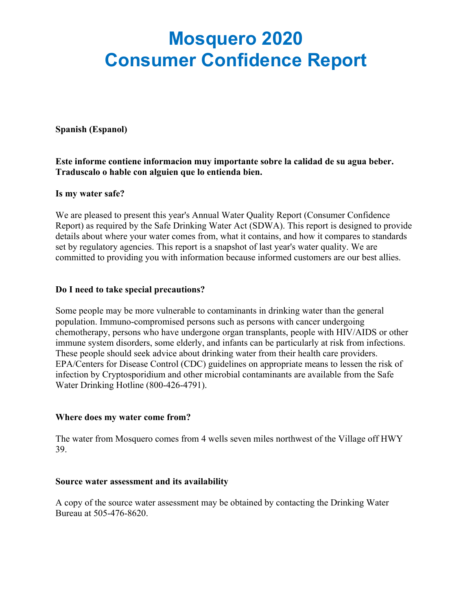# **Mosquero 2020 Consumer Confidence Report**

**Spanish (Espanol)** 

#### **Este informe contiene informacion muy importante sobre la calidad de su agua beber. Traduscalo o hable con alguien que lo entienda bien.**

#### **Is my water safe?**

We are pleased to present this year's Annual Water Quality Report (Consumer Confidence Report) as required by the Safe Drinking Water Act (SDWA). This report is designed to provide details about where your water comes from, what it contains, and how it compares to standards set by regulatory agencies. This report is a snapshot of last year's water quality. We are committed to providing you with information because informed customers are our best allies.

#### **Do I need to take special precautions?**

Some people may be more vulnerable to contaminants in drinking water than the general population. Immuno-compromised persons such as persons with cancer undergoing chemotherapy, persons who have undergone organ transplants, people with HIV/AIDS or other immune system disorders, some elderly, and infants can be particularly at risk from infections. These people should seek advice about drinking water from their health care providers. EPA/Centers for Disease Control (CDC) guidelines on appropriate means to lessen the risk of infection by Cryptosporidium and other microbial contaminants are available from the Safe Water Drinking Hotline (800-426-4791).

#### **Where does my water come from?**

The water from Mosquero comes from 4 wells seven miles northwest of the Village off HWY 39.

#### **Source water assessment and its availability**

A copy of the source water assessment may be obtained by contacting the Drinking Water Bureau at 505-476-8620.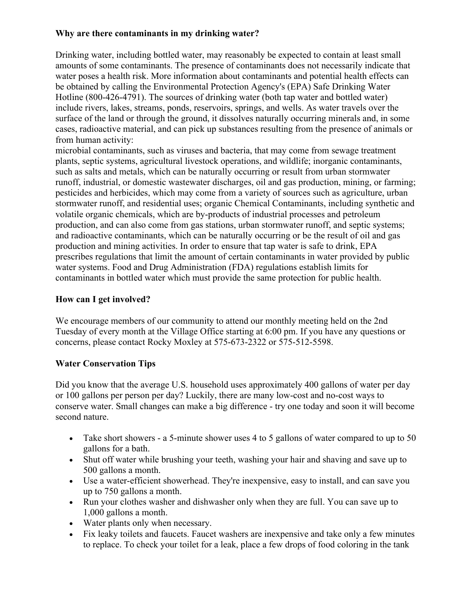# **Why are there contaminants in my drinking water?**

Drinking water, including bottled water, may reasonably be expected to contain at least small amounts of some contaminants. The presence of contaminants does not necessarily indicate that water poses a health risk. More information about contaminants and potential health effects can be obtained by calling the Environmental Protection Agency's (EPA) Safe Drinking Water Hotline (800-426-4791). The sources of drinking water (both tap water and bottled water) include rivers, lakes, streams, ponds, reservoirs, springs, and wells. As water travels over the surface of the land or through the ground, it dissolves naturally occurring minerals and, in some cases, radioactive material, and can pick up substances resulting from the presence of animals or from human activity:

microbial contaminants, such as viruses and bacteria, that may come from sewage treatment plants, septic systems, agricultural livestock operations, and wildlife; inorganic contaminants, such as salts and metals, which can be naturally occurring or result from urban stormwater runoff, industrial, or domestic wastewater discharges, oil and gas production, mining, or farming; pesticides and herbicides, which may come from a variety of sources such as agriculture, urban stormwater runoff, and residential uses; organic Chemical Contaminants, including synthetic and volatile organic chemicals, which are by-products of industrial processes and petroleum production, and can also come from gas stations, urban stormwater runoff, and septic systems; and radioactive contaminants, which can be naturally occurring or be the result of oil and gas production and mining activities. In order to ensure that tap water is safe to drink, EPA prescribes regulations that limit the amount of certain contaminants in water provided by public water systems. Food and Drug Administration (FDA) regulations establish limits for contaminants in bottled water which must provide the same protection for public health.

# **How can I get involved?**

We encourage members of our community to attend our monthly meeting held on the 2nd Tuesday of every month at the Village Office starting at 6:00 pm. If you have any questions or concerns, please contact Rocky Moxley at 575-673-2322 or 575-512-5598.

#### **Water Conservation Tips**

Did you know that the average U.S. household uses approximately 400 gallons of water per day or 100 gallons per person per day? Luckily, there are many low-cost and no-cost ways to conserve water. Small changes can make a big difference - try one today and soon it will become second nature.

- Take short showers a 5-minute shower uses 4 to 5 gallons of water compared to up to 50 gallons for a bath.
- Shut off water while brushing your teeth, washing your hair and shaving and save up to 500 gallons a month.
- Use a water-efficient showerhead. They're inexpensive, easy to install, and can save you up to 750 gallons a month.
- Run your clothes washer and dishwasher only when they are full. You can save up to 1,000 gallons a month.
- Water plants only when necessary.
- Fix leaky toilets and faucets. Faucet washers are inexpensive and take only a few minutes to replace. To check your toilet for a leak, place a few drops of food coloring in the tank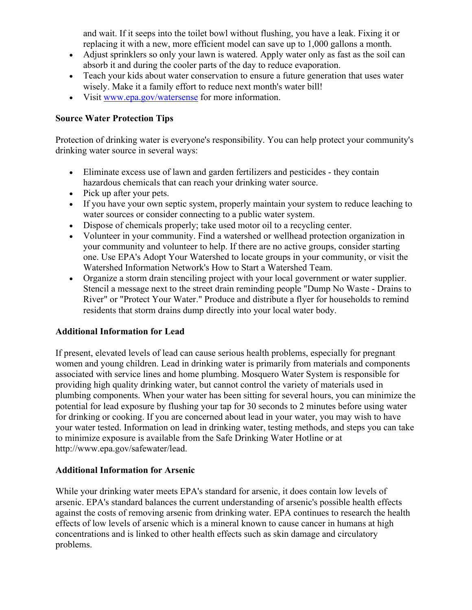and wait. If it seeps into the toilet bowl without flushing, you have a leak. Fixing it or replacing it with a new, more efficient model can save up to 1,000 gallons a month.

- Adjust sprinklers so only your lawn is watered. Apply water only as fast as the soil can absorb it and during the cooler parts of the day to reduce evaporation.
- Teach your kids about water conservation to ensure a future generation that uses water wisely. Make it a family effort to reduce next month's water bill!
- Visit www.epa.gov/watersense for more information.

# **Source Water Protection Tips**

Protection of drinking water is everyone's responsibility. You can help protect your community's drinking water source in several ways:

- Eliminate excess use of lawn and garden fertilizers and pesticides they contain hazardous chemicals that can reach your drinking water source.
- Pick up after your pets.
- If you have your own septic system, properly maintain your system to reduce leaching to water sources or consider connecting to a public water system.
- Dispose of chemicals properly; take used motor oil to a recycling center.
- Volunteer in your community. Find a watershed or wellhead protection organization in your community and volunteer to help. If there are no active groups, consider starting one. Use EPA's Adopt Your Watershed to locate groups in your community, or visit the Watershed Information Network's How to Start a Watershed Team.
- Organize a storm drain stenciling project with your local government or water supplier. Stencil a message next to the street drain reminding people "Dump No Waste - Drains to River" or "Protect Your Water." Produce and distribute a flyer for households to remind residents that storm drains dump directly into your local water body.

#### **Additional Information for Lead**

If present, elevated levels of lead can cause serious health problems, especially for pregnant women and young children. Lead in drinking water is primarily from materials and components associated with service lines and home plumbing. Mosquero Water System is responsible for providing high quality drinking water, but cannot control the variety of materials used in plumbing components. When your water has been sitting for several hours, you can minimize the potential for lead exposure by flushing your tap for 30 seconds to 2 minutes before using water for drinking or cooking. If you are concerned about lead in your water, you may wish to have your water tested. Information on lead in drinking water, testing methods, and steps you can take to minimize exposure is available from the Safe Drinking Water Hotline or at http://www.epa.gov/safewater/lead.

#### **Additional Information for Arsenic**

While your drinking water meets EPA's standard for arsenic, it does contain low levels of arsenic. EPA's standard balances the current understanding of arsenic's possible health effects against the costs of removing arsenic from drinking water. EPA continues to research the health effects of low levels of arsenic which is a mineral known to cause cancer in humans at high concentrations and is linked to other health effects such as skin damage and circulatory problems.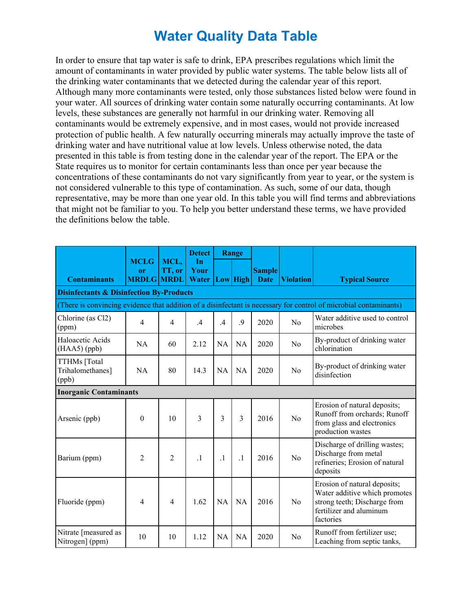# **Water Quality Data Table**

In order to ensure that tap water is safe to drink, EPA prescribes regulations which limit the amount of contaminants in water provided by public water systems. The table below lists all of the drinking water contaminants that we detected during the calendar year of this report. Although many more contaminants were tested, only those substances listed below were found in your water. All sources of drinking water contain some naturally occurring contaminants. At low levels, these substances are generally not harmful in our drinking water. Removing all contaminants would be extremely expensive, and in most cases, would not provide increased protection of public health. A few naturally occurring minerals may actually improve the taste of drinking water and have nutritional value at low levels. Unless otherwise noted, the data presented in this table is from testing done in the calendar year of the report. The EPA or the State requires us to monitor for certain contaminants less than once per year because the concentrations of these contaminants do not vary significantly from year to year, or the system is not considered vulnerable to this type of contamination. As such, some of our data, though representative, may be more than one year old. In this table you will find terms and abbreviations that might not be familiar to you. To help you better understand these terms, we have provided the definitions below the table.

|                                                     |                                   |                               | <b>Detect</b>              |               | Range           |                              |                  |                                                                                                                                       |  |  |
|-----------------------------------------------------|-----------------------------------|-------------------------------|----------------------------|---------------|-----------------|------------------------------|------------------|---------------------------------------------------------------------------------------------------------------------------------------|--|--|
| <b>Contaminants</b>                                 | <b>MCLG</b><br>or<br><b>MRDLG</b> | MCL,<br>TT, or<br><b>MRDL</b> | In<br>Your<br><b>Water</b> |               | <b>Low</b> High | <b>Sample</b><br><b>Date</b> | <b>Violation</b> | <b>Typical Source</b>                                                                                                                 |  |  |
| <b>Disinfectants &amp; Disinfection By-Products</b> |                                   |                               |                            |               |                 |                              |                  |                                                                                                                                       |  |  |
|                                                     |                                   |                               |                            |               |                 |                              |                  | (There is convincing evidence that addition of a disinfectant is necessary for control of microbial contaminants)                     |  |  |
| Chlorine (as Cl2)<br>(ppm)                          | 4                                 | 4                             | $\mathcal{A}$              | $\mathcal{A}$ | .9              | 2020                         | No               | Water additive used to control<br>microbes                                                                                            |  |  |
| Haloacetic Acids<br>$(HAA5)$ (ppb)                  | <b>NA</b>                         | 60                            | 2.12                       | <b>NA</b>     | <b>NA</b>       | 2020                         | No               | By-product of drinking water<br>chlorination                                                                                          |  |  |
| TTHMs [Total<br>Trihalomethanes]<br>(ppb)           | <b>NA</b>                         | 80                            | 14.3                       | <b>NA</b>     | <b>NA</b>       | 2020                         | No               | By-product of drinking water<br>disinfection                                                                                          |  |  |
|                                                     | <b>Inorganic Contaminants</b>     |                               |                            |               |                 |                              |                  |                                                                                                                                       |  |  |
| Arsenic (ppb)                                       | $\theta$                          | 10                            | $\overline{3}$             | 3             | 3               | 2016                         | No               | Erosion of natural deposits;<br>Runoff from orchards; Runoff<br>from glass and electronics<br>production wastes                       |  |  |
| Barium (ppm)                                        | 2                                 | $\overline{2}$                | $\cdot$ 1                  | $\cdot$       | $\cdot$         | 2016                         | No               | Discharge of drilling wastes;<br>Discharge from metal<br>refineries; Erosion of natural<br>deposits                                   |  |  |
| Fluoride (ppm)                                      | 4                                 | $\overline{4}$                | 1.62                       | <b>NA</b>     | NA              | 2016                         | No               | Erosion of natural deposits;<br>Water additive which promotes<br>strong teeth; Discharge from<br>fertilizer and aluminum<br>factories |  |  |
| Nitrate [measured as<br>Nitrogen] (ppm)             | 10                                | 10                            | 1.12                       | <b>NA</b>     | <b>NA</b>       | 2020                         | No               | Runoff from fertilizer use;<br>Leaching from septic tanks,                                                                            |  |  |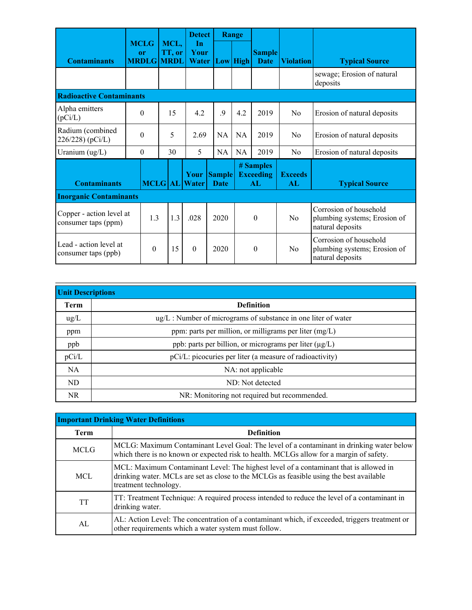|                                                           |          |                                   |    |                               | <b>Detect</b>              |                              | Range          |                                     |                                                                            |                                                                            |
|-----------------------------------------------------------|----------|-----------------------------------|----|-------------------------------|----------------------------|------------------------------|----------------|-------------------------------------|----------------------------------------------------------------------------|----------------------------------------------------------------------------|
| <b>Contaminants</b>                                       |          | <b>MCLG</b><br>or<br><b>MRDLG</b> |    | MCL,<br>TT, or<br><b>MRDL</b> | <b>In</b><br>Your<br>Water |                              | Low High       | <b>Sample</b><br><b>Date</b>        | <b>Violation</b>                                                           | <b>Typical Source</b>                                                      |
|                                                           |          |                                   |    |                               |                            |                              |                |                                     |                                                                            | sewage; Erosion of natural<br>deposits                                     |
| <b>Radioactive Contaminants</b>                           |          |                                   |    |                               |                            |                              |                |                                     |                                                                            |                                                                            |
| Alpha emitters<br>(pCi/L)                                 |          | 0                                 |    | 15                            | 4.2                        | .9                           | 4.2            | 2019                                | N <sub>0</sub>                                                             | Erosion of natural deposits                                                |
| Radium (combined<br>226/228) (pCi/L)                      | $\theta$ |                                   |    | 5                             | 2.69                       | <b>NA</b>                    | <b>NA</b>      | 2019                                | No                                                                         | Erosion of natural deposits                                                |
| Uranium (ug/L)                                            |          | 0                                 |    | 30                            | 5                          | <b>NA</b>                    | NA             | 2019                                | N <sub>0</sub>                                                             | Erosion of natural deposits                                                |
| <b>Contaminants</b>                                       |          | <b>MCLG</b> AL                    |    |                               | Your<br><b>Water</b>       | <b>Sample</b><br><b>Date</b> |                | # Samples<br><b>Exceeding</b><br>AL | <b>Exceeds</b><br>AL                                                       | <b>Typical Source</b>                                                      |
| <b>Inorganic Contaminants</b>                             |          |                                   |    |                               |                            |                              |                |                                     |                                                                            |                                                                            |
| Copper - action level at<br>consumer taps (ppm)           | 1.3      |                                   |    | 1.3                           | .028                       | 2020                         |                | $\theta$                            | N <sub>0</sub>                                                             | Corrosion of household<br>plumbing systems; Erosion of<br>natural deposits |
| Lead - action level at<br>$\theta$<br>consumer taps (ppb) |          |                                   | 15 | $\theta$                      | 2020                       |                              | $\overline{0}$ | N <sub>0</sub>                      | Corrosion of household<br>plumbing systems; Erosion of<br>natural deposits |                                                                            |

| <b>Unit Descriptions</b> |                                                                     |  |  |  |  |  |
|--------------------------|---------------------------------------------------------------------|--|--|--|--|--|
| Term                     | <b>Definition</b>                                                   |  |  |  |  |  |
| $\text{ug/L}$            | $\mu$ g/L : Number of micrograms of substance in one liter of water |  |  |  |  |  |
| ppm                      | ppm: parts per million, or milligrams per liter $(mg/L)$            |  |  |  |  |  |
| ppb                      | ppb: parts per billion, or micrograms per liter (µg/L)              |  |  |  |  |  |
| pCi/L                    | pCi/L: picocuries per liter (a measure of radioactivity)            |  |  |  |  |  |
| <b>NA</b>                | NA: not applicable                                                  |  |  |  |  |  |
| ND.                      | ND: Not detected                                                    |  |  |  |  |  |
| <b>NR</b>                | NR: Monitoring not required but recommended.                        |  |  |  |  |  |

| <b>Important Drinking Water Definitions</b> |                                                                                                                                                                                                           |  |  |  |  |
|---------------------------------------------|-----------------------------------------------------------------------------------------------------------------------------------------------------------------------------------------------------------|--|--|--|--|
| Term                                        | <b>Definition</b>                                                                                                                                                                                         |  |  |  |  |
| <b>MCLG</b>                                 | MCLG: Maximum Contaminant Level Goal: The level of a contaminant in drinking water below<br>which there is no known or expected risk to health. MCLGs allow for a margin of safety.                       |  |  |  |  |
| <b>MCL</b>                                  | MCL: Maximum Contaminant Level: The highest level of a contaminant that is allowed in<br>drinking water. MCLs are set as close to the MCLGs as feasible using the best available<br>treatment technology. |  |  |  |  |
| TT                                          | TT: Treatment Technique: A required process intended to reduce the level of a contaminant in<br>drinking water.                                                                                           |  |  |  |  |
| AL                                          | AL: Action Level: The concentration of a contaminant which, if exceeded, triggers treatment or<br>other requirements which a water system must follow.                                                    |  |  |  |  |